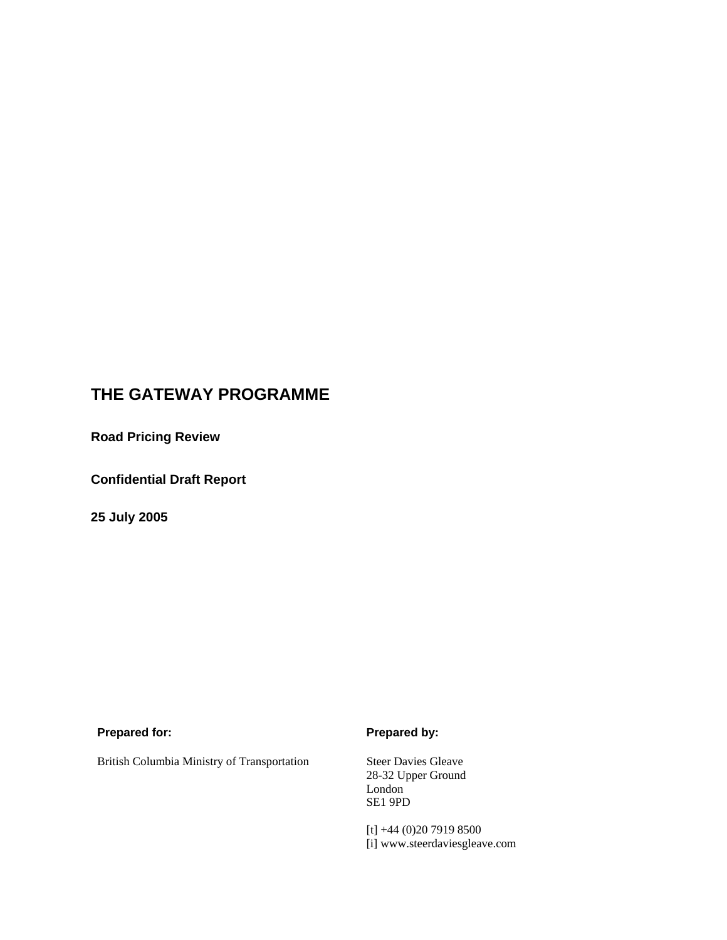# **THE GATEWAY PROGRAMME**

**Road Pricing Review** 

**Confidential Draft Report** 

**25 July 2005** 

## **Prepared for:** Prepared by:

British Columbia Ministry of Transportation Steer Davies Gleave

28-32 Upper Ground London SE1 9PD

[t] +44 (0)20 7919 8500 [i] www.steerdaviesgleave.com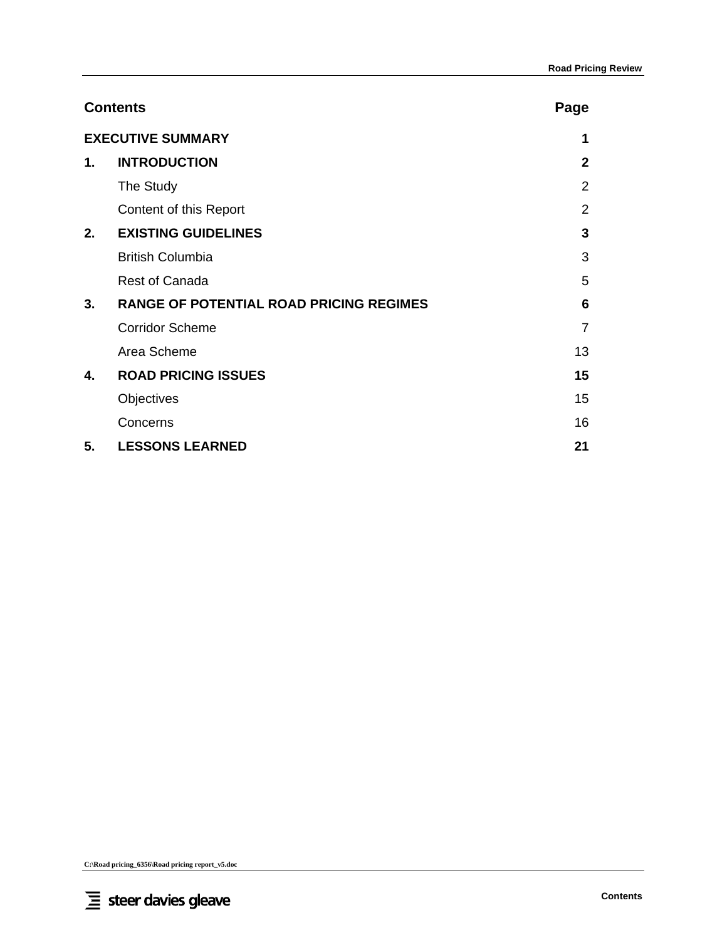|               | <b>Contents</b>                                | Page           |
|---------------|------------------------------------------------|----------------|
|               | <b>EXECUTIVE SUMMARY</b>                       | 1              |
| $\mathbf 1$ . | <b>INTRODUCTION</b>                            | $\mathbf{2}$   |
|               | The Study                                      | $\overline{2}$ |
|               | Content of this Report                         | $\overline{2}$ |
| 2.            | <b>EXISTING GUIDELINES</b>                     | 3              |
|               | <b>British Columbia</b>                        | 3              |
|               | <b>Rest of Canada</b>                          | 5              |
| 3.            | <b>RANGE OF POTENTIAL ROAD PRICING REGIMES</b> | 6              |
|               | <b>Corridor Scheme</b>                         | $\overline{7}$ |
|               | Area Scheme                                    | 13             |
| 4.            | <b>ROAD PRICING ISSUES</b>                     | 15             |
|               | Objectives                                     | 15             |
|               | Concerns                                       | 16             |
| 5.            | <b>LESSONS LEARNED</b>                         | 21             |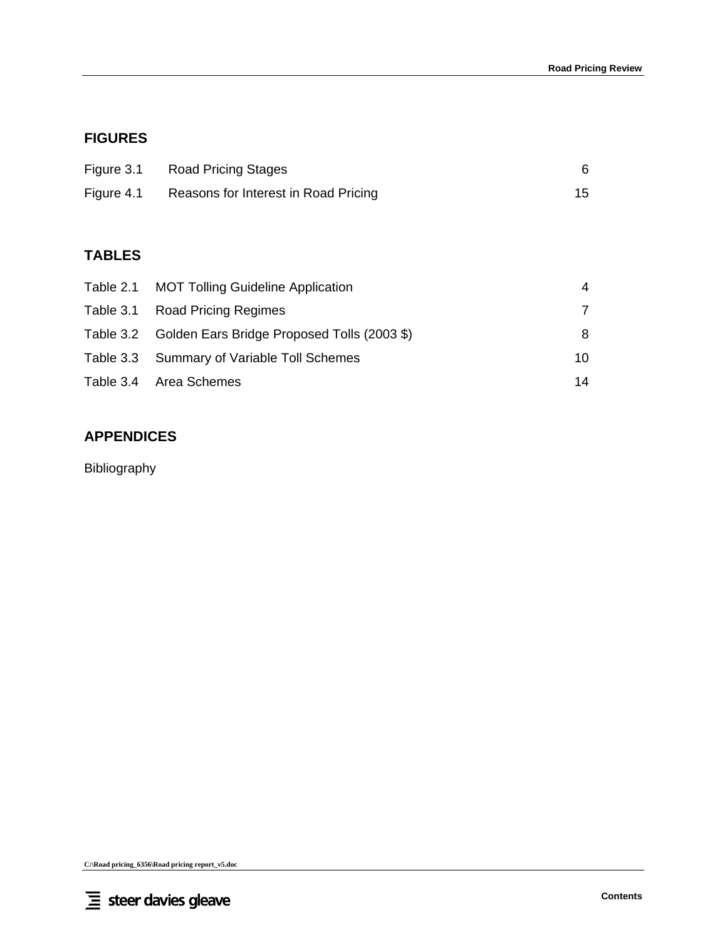# **FIGURES**

| Figure 3.1 | Road Pricing Stages                  |    |
|------------|--------------------------------------|----|
| Figure 4.1 | Reasons for Interest in Road Pricing | 15 |

# **TABLES**

| Table 2.1 MOT Tolling Guideline Application           | 4  |
|-------------------------------------------------------|----|
| Table 3.1 Road Pricing Regimes                        |    |
| Table 3.2 Golden Ears Bridge Proposed Tolls (2003 \$) | 8  |
| Table 3.3 Summary of Variable Toll Schemes            | 10 |
| Table 3.4 Area Schemes                                | 14 |

# **APPENDICES**

Bibliography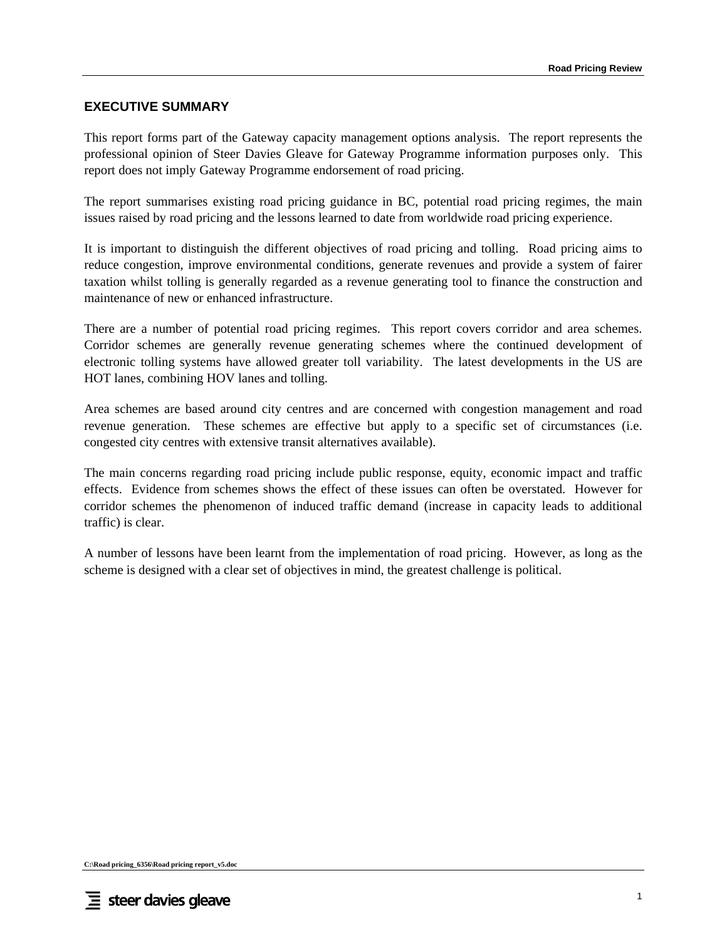# **EXECUTIVE SUMMARY**

This report forms part of the Gateway capacity management options analysis. The report represents the professional opinion of Steer Davies Gleave for Gateway Programme information purposes only. This report does not imply Gateway Programme endorsement of road pricing.

The report summarises existing road pricing guidance in BC, potential road pricing regimes, the main issues raised by road pricing and the lessons learned to date from worldwide road pricing experience.

It is important to distinguish the different objectives of road pricing and tolling. Road pricing aims to reduce congestion, improve environmental conditions, generate revenues and provide a system of fairer taxation whilst tolling is generally regarded as a revenue generating tool to finance the construction and maintenance of new or enhanced infrastructure.

There are a number of potential road pricing regimes. This report covers corridor and area schemes. Corridor schemes are generally revenue generating schemes where the continued development of electronic tolling systems have allowed greater toll variability. The latest developments in the US are HOT lanes, combining HOV lanes and tolling.

Area schemes are based around city centres and are concerned with congestion management and road revenue generation. These schemes are effective but apply to a specific set of circumstances (i.e. congested city centres with extensive transit alternatives available).

The main concerns regarding road pricing include public response, equity, economic impact and traffic effects. Evidence from schemes shows the effect of these issues can often be overstated. However for corridor schemes the phenomenon of induced traffic demand (increase in capacity leads to additional traffic) is clear.

A number of lessons have been learnt from the implementation of road pricing. However, as long as the scheme is designed with a clear set of objectives in mind, the greatest challenge is political.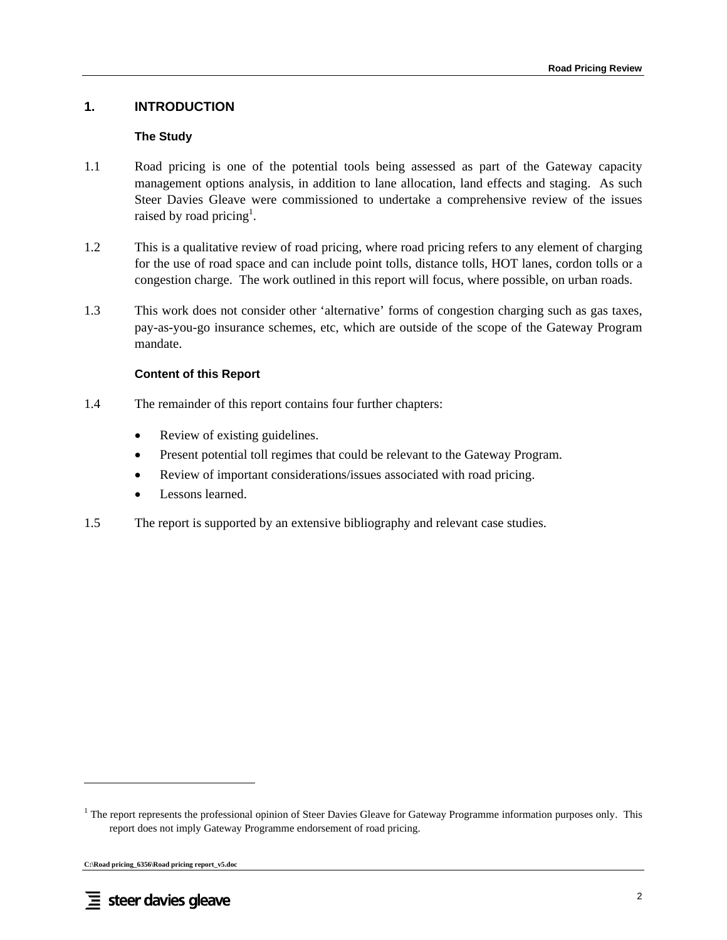# **1. INTRODUCTION**

#### **The Study**

- 1.1 Road pricing is one of the potential tools being assessed as part of the Gateway capacity management options analysis, in addition to lane allocation, land effects and staging. As such Steer Davies Gleave were commissioned to undertake a comprehensive review of the issues raised by road pricing<sup>1</sup>.
- 1.2 This is a qualitative review of road pricing, where road pricing refers to any element of charging for the use of road space and can include point tolls, distance tolls, HOT lanes, cordon tolls or a congestion charge. The work outlined in this report will focus, where possible, on urban roads.
- 1.3 This work does not consider other 'alternative' forms of congestion charging such as gas taxes, pay-as-you-go insurance schemes, etc, which are outside of the scope of the Gateway Program mandate.

#### **Content of this Report**

- 1.4 The remainder of this report contains four further chapters:
	- Review of existing guidelines.
	- Present potential toll regimes that could be relevant to the Gateway Program.
	- Review of important considerations/issues associated with road pricing.
	- Lessons learned.
- 1.5 The report is supported by an extensive bibliography and relevant case studies.

**C:\Road pricing\_6356\Road pricing report\_v5.doc** 

<sup>&</sup>lt;sup>1</sup> The report represents the professional opinion of Steer Davies Gleave for Gateway Programme information purposes only. This report does not imply Gateway Programme endorsement of road pricing.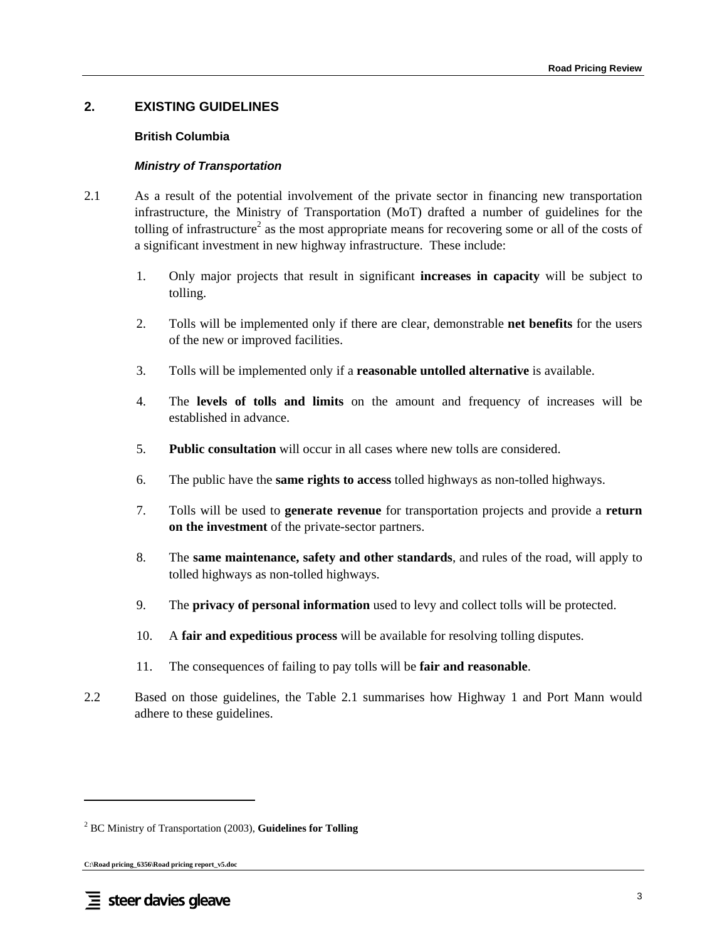# **2. EXISTING GUIDELINES**

#### **British Columbia**

#### *Ministry of Transportation*

- 2.1 As a result of the potential involvement of the private sector in financing new transportation infrastructure, the Ministry of Transportation (MoT) drafted a number of guidelines for the tolling of infrastructure<sup>2</sup> as the most appropriate means for recovering some or all of the costs of a significant investment in new highway infrastructure. These include:
	- 1. Only major projects that result in significant **increases in capacity** will be subject to tolling.
	- 2. Tolls will be implemented only if there are clear, demonstrable **net benefits** for the users of the new or improved facilities.
	- 3. Tolls will be implemented only if a **reasonable untolled alternative** is available.
	- 4. The **levels of tolls and limits** on the amount and frequency of increases will be established in advance.
	- 5. **Public consultation** will occur in all cases where new tolls are considered.
	- 6. The public have the **same rights to access** tolled highways as non-tolled highways.
	- 7. Tolls will be used to **generate revenue** for transportation projects and provide a **return on the investment** of the private-sector partners.
	- 8. The **same maintenance, safety and other standards**, and rules of the road, will apply to tolled highways as non-tolled highways.
	- 9. The **privacy of personal information** used to levy and collect tolls will be protected.
	- 10. A **fair and expeditious process** will be available for resolving tolling disputes.
	- 11. The consequences of failing to pay tolls will be **fair and reasonable**.
- 2.2 Based on those guidelines, the Table 2.1 summarises how Highway 1 and Port Mann would adhere to these guidelines.

<sup>2</sup> BC Ministry of Transportation (2003), **Guidelines for Tolling**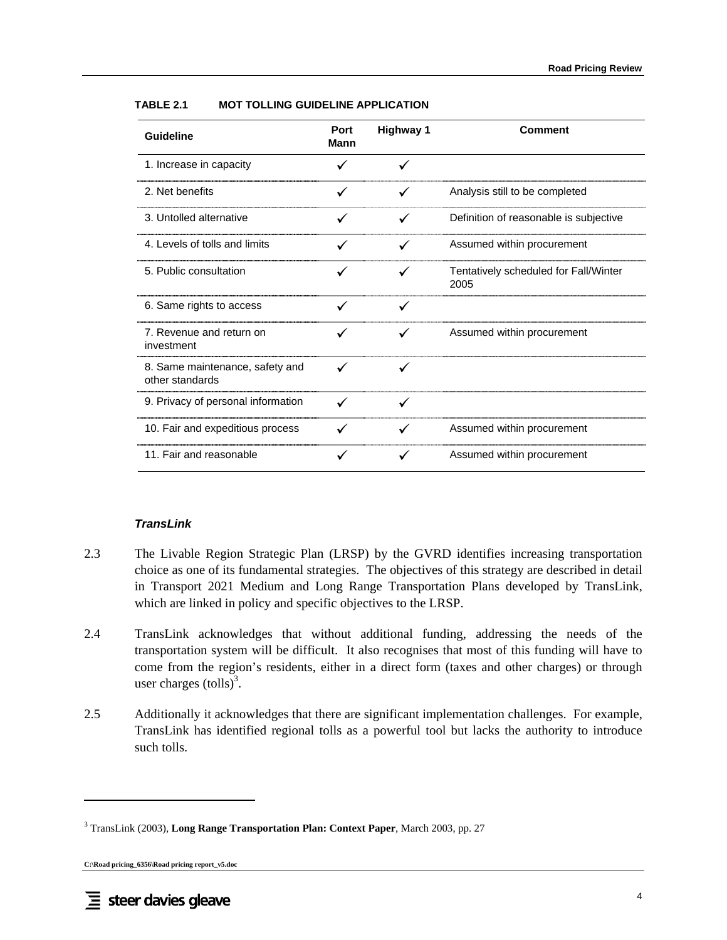| <b>Guideline</b>                                   | Port<br>Mann | <b>Highway 1</b> | <b>Comment</b>                                |
|----------------------------------------------------|--------------|------------------|-----------------------------------------------|
| 1. Increase in capacity                            |              |                  |                                               |
| 2. Net benefits                                    | ✓            |                  | Analysis still to be completed                |
| 3. Untolled alternative                            |              |                  | Definition of reasonable is subjective        |
| 4. Levels of tolls and limits                      |              |                  | Assumed within procurement                    |
| 5. Public consultation                             |              |                  | Tentatively scheduled for Fall/Winter<br>2005 |
| 6. Same rights to access                           |              |                  |                                               |
| 7. Revenue and return on<br>investment             |              | ✓                | Assumed within procurement                    |
| 8. Same maintenance, safety and<br>other standards |              |                  |                                               |
| 9. Privacy of personal information                 | $\checkmark$ |                  |                                               |
| 10. Fair and expeditious process                   |              | ✓                | Assumed within procurement                    |
| 11. Fair and reasonable                            |              |                  | Assumed within procurement                    |

#### **TABLE 2.1 MOT TOLLING GUIDELINE APPLICATION**

#### *TransLink*

- 2.3 The Livable Region Strategic Plan (LRSP) by the GVRD identifies increasing transportation choice as one of its fundamental strategies. The objectives of this strategy are described in detail in Transport 2021 Medium and Long Range Transportation Plans developed by TransLink, which are linked in policy and specific objectives to the LRSP.
- 2.4 TransLink acknowledges that without additional funding, addressing the needs of the transportation system will be difficult. It also recognises that most of this funding will have to come from the region's residents, either in a direct form (taxes and other charges) or through user charges  $\text{(tolls)}^3$ .
- 2.5 Additionally it acknowledges that there are significant implementation challenges. For example, TransLink has identified regional tolls as a powerful tool but lacks the authority to introduce such tolls.

<sup>3</sup> TransLink (2003), **Long Range Transportation Plan: Context Paper**, March 2003, pp. 27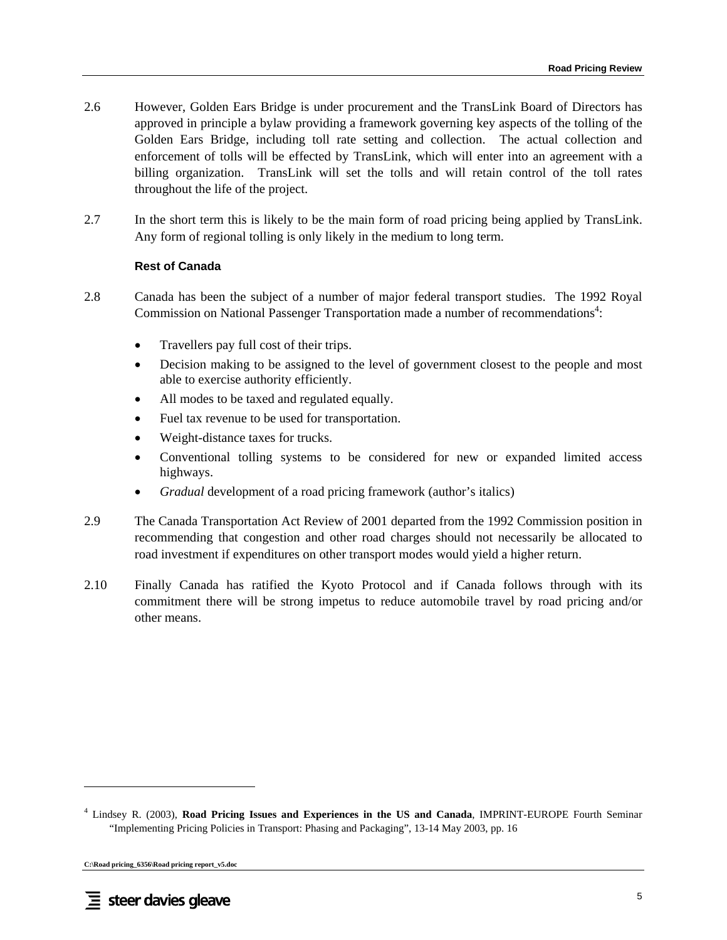- 2.6 However, Golden Ears Bridge is under procurement and the TransLink Board of Directors has approved in principle a bylaw providing a framework governing key aspects of the tolling of the Golden Ears Bridge, including toll rate setting and collection. The actual collection and enforcement of tolls will be effected by TransLink, which will enter into an agreement with a billing organization. TransLink will set the tolls and will retain control of the toll rates throughout the life of the project.
- 2.7 In the short term this is likely to be the main form of road pricing being applied by TransLink. Any form of regional tolling is only likely in the medium to long term.

#### **Rest of Canada**

- 2.8 Canada has been the subject of a number of major federal transport studies. The 1992 Royal Commission on National Passenger Transportation made a number of recommendations<sup>4</sup>:
	- Travellers pay full cost of their trips.
	- Decision making to be assigned to the level of government closest to the people and most able to exercise authority efficiently.
	- All modes to be taxed and regulated equally.
	- Fuel tax revenue to be used for transportation.
	- Weight-distance taxes for trucks.
	- Conventional tolling systems to be considered for new or expanded limited access highways.
	- *Gradual* development of a road pricing framework (author's italics)
- 2.9 The Canada Transportation Act Review of 2001 departed from the 1992 Commission position in recommending that congestion and other road charges should not necessarily be allocated to road investment if expenditures on other transport modes would yield a higher return.
- 2.10 Finally Canada has ratified the Kyoto Protocol and if Canada follows through with its commitment there will be strong impetus to reduce automobile travel by road pricing and/or other means.

**C:\Road pricing\_6356\Road pricing report\_v5.doc** 

<sup>4</sup> Lindsey R. (2003), **Road Pricing Issues and Experiences in the US and Canada**, IMPRINT-EUROPE Fourth Seminar "Implementing Pricing Policies in Transport: Phasing and Packaging", 13-14 May 2003, pp. 16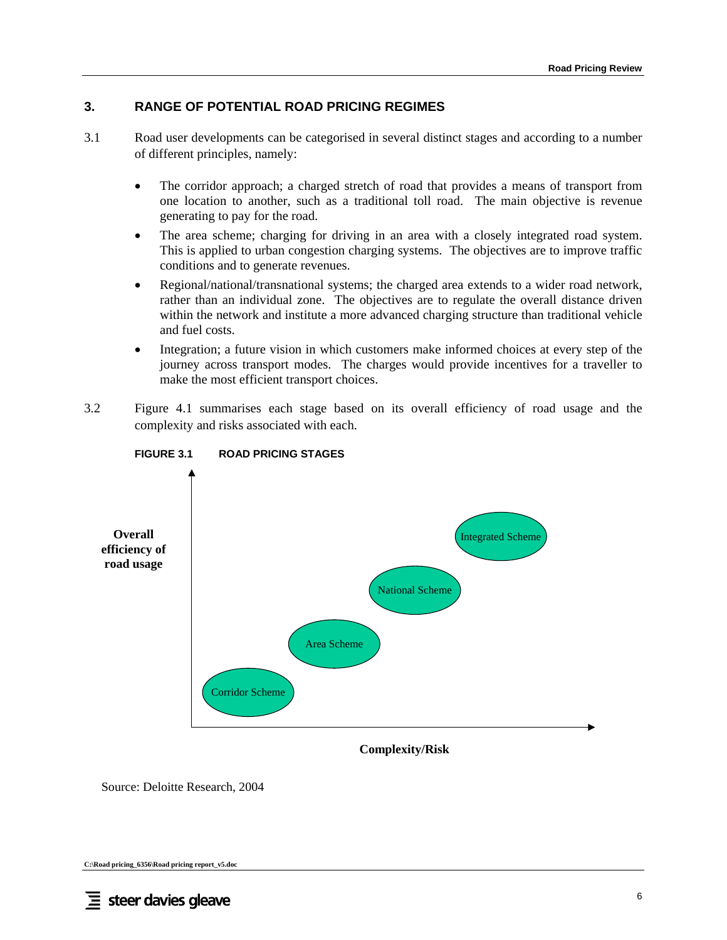# **3. RANGE OF POTENTIAL ROAD PRICING REGIMES**

- 3.1 Road user developments can be categorised in several distinct stages and according to a number of different principles, namely:
	- The corridor approach; a charged stretch of road that provides a means of transport from one location to another, such as a traditional toll road. The main objective is revenue generating to pay for the road.
	- The area scheme; charging for driving in an area with a closely integrated road system. This is applied to urban congestion charging systems. The objectives are to improve traffic conditions and to generate revenues.
	- Regional/national/transnational systems; the charged area extends to a wider road network, rather than an individual zone. The objectives are to regulate the overall distance driven within the network and institute a more advanced charging structure than traditional vehicle and fuel costs.
	- Integration; a future vision in which customers make informed choices at every step of the journey across transport modes. The charges would provide incentives for a traveller to make the most efficient transport choices.
- 3.2 Figure 4.1 summarises each stage based on its overall efficiency of road usage and the complexity and risks associated with each.



### **FIGURE 3.1 ROAD PRICING STAGES**

**Complexity/Risk**

Source: Deloitte Research, 2004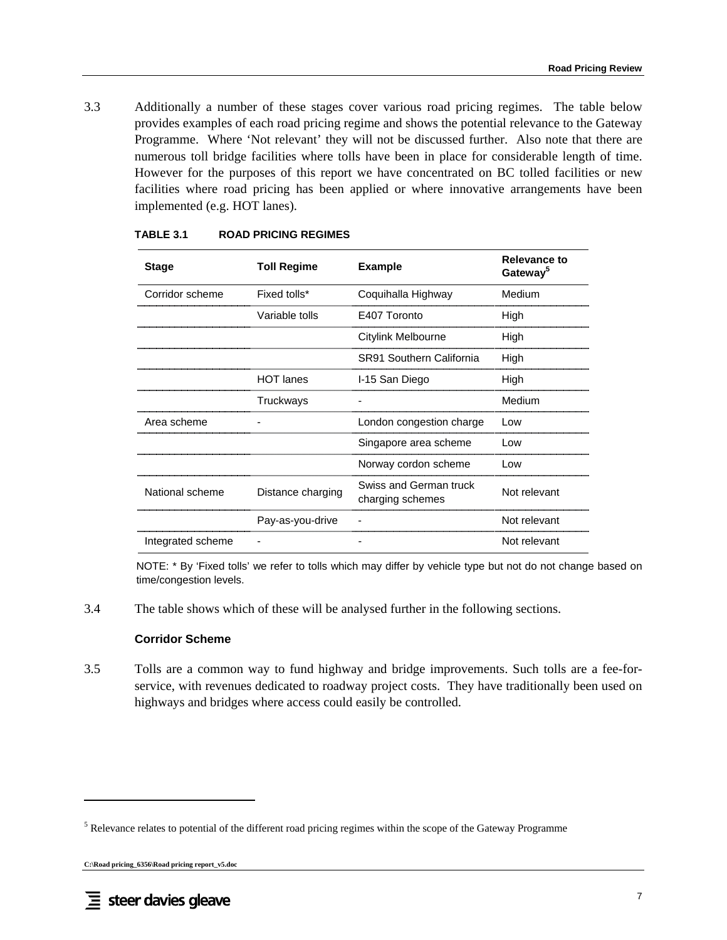3.3 Additionally a number of these stages cover various road pricing regimes. The table below provides examples of each road pricing regime and shows the potential relevance to the Gateway Programme. Where 'Not relevant' they will not be discussed further. Also note that there are numerous toll bridge facilities where tolls have been in place for considerable length of time. However for the purposes of this report we have concentrated on BC tolled facilities or new facilities where road pricing has been applied or where innovative arrangements have been implemented (e.g. HOT lanes).

| <b>Stage</b>      | <b>Toll Regime</b> | <b>Example</b>                             | <b>Relevance to</b><br>Gateway <sup>5</sup> |
|-------------------|--------------------|--------------------------------------------|---------------------------------------------|
| Corridor scheme   | Fixed tolls*       | Coquihalla Highway                         | Medium                                      |
|                   | Variable tolls     | E407 Toronto                               | High                                        |
|                   |                    | Citylink Melbourne                         | High                                        |
|                   |                    | SR91 Southern California                   | High                                        |
|                   | <b>HOT</b> lanes   | I-15 San Diego                             | High                                        |
|                   | Truckways          |                                            | Medium                                      |
| Area scheme       |                    | London congestion charge                   | Low                                         |
|                   |                    | Singapore area scheme                      | Low                                         |
|                   |                    | Norway cordon scheme                       | Low                                         |
| National scheme   | Distance charging  | Swiss and German truck<br>charging schemes | Not relevant                                |
|                   | Pay-as-you-drive   |                                            | Not relevant                                |
| Integrated scheme |                    |                                            | Not relevant                                |

#### **TABLE 3.1 ROAD PRICING REGIMES**

NOTE: \* By 'Fixed tolls' we refer to tolls which may differ by vehicle type but not do not change based on time/congestion levels.

3.4 The table shows which of these will be analysed further in the following sections.

#### **Corridor Scheme**

3.5 Tolls are a common way to fund highway and bridge improvements. Such tolls are a fee-forservice, with revenues dedicated to roadway project costs. They have traditionally been used on highways and bridges where access could easily be controlled.

<sup>&</sup>lt;sup>5</sup> Relevance relates to potential of the different road pricing regimes within the scope of the Gateway Programme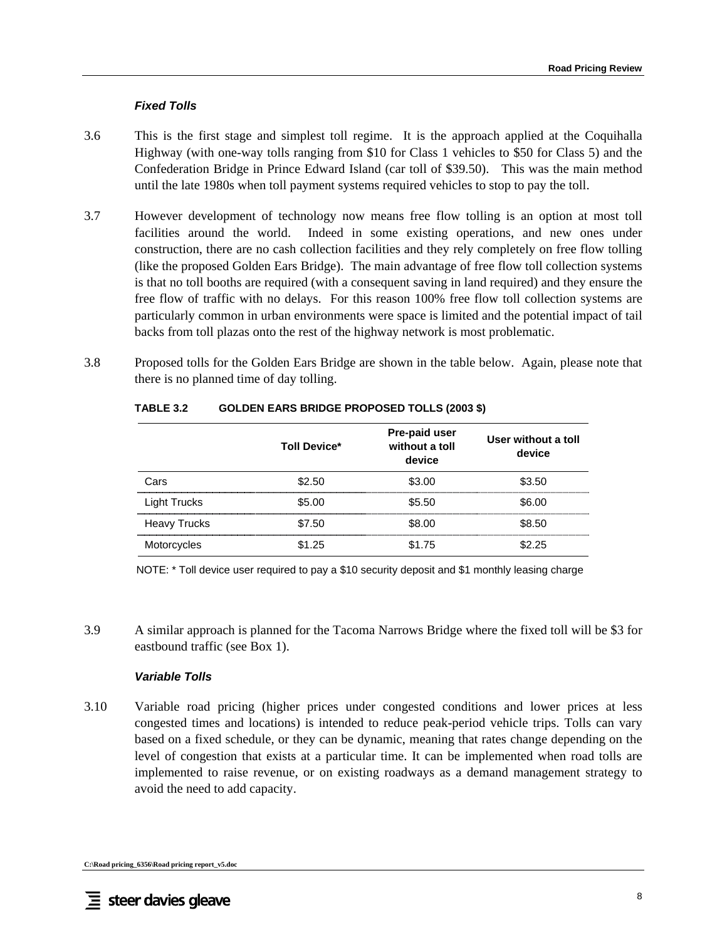### *Fixed Tolls*

- 3.6 This is the first stage and simplest toll regime. It is the approach applied at the Coquihalla Highway (with one-way tolls ranging from \$10 for Class 1 vehicles to \$50 for Class 5) and the Confederation Bridge in Prince Edward Island (car toll of \$39.50). This was the main method until the late 1980s when toll payment systems required vehicles to stop to pay the toll.
- 3.7 However development of technology now means free flow tolling is an option at most toll facilities around the world. Indeed in some existing operations, and new ones under construction, there are no cash collection facilities and they rely completely on free flow tolling (like the proposed Golden Ears Bridge). The main advantage of free flow toll collection systems is that no toll booths are required (with a consequent saving in land required) and they ensure the free flow of traffic with no delays. For this reason 100% free flow toll collection systems are particularly common in urban environments were space is limited and the potential impact of tail backs from toll plazas onto the rest of the highway network is most problematic.
- 3.8 Proposed tolls for the Golden Ears Bridge are shown in the table below. Again, please note that there is no planned time of day tolling.

|                     | <b>Toll Device*</b> | <b>Pre-paid user</b><br>without a toll<br>device | User without a toll<br>device |
|---------------------|---------------------|--------------------------------------------------|-------------------------------|
| Cars                | \$2.50              | \$3.00                                           | \$3.50                        |
| <b>Light Trucks</b> | \$5.00              | \$5.50                                           | \$6.00                        |
| <b>Heavy Trucks</b> | \$7.50              | \$8.00                                           | \$8.50                        |
| Motorcycles         | \$1.25              | \$1.75                                           | ደጋ ጋ5                         |

### **TABLE 3.2 GOLDEN EARS BRIDGE PROPOSED TOLLS (2003 \$)**

NOTE: \* Toll device user required to pay a \$10 security deposit and \$1 monthly leasing charge

3.9 A similar approach is planned for the Tacoma Narrows Bridge where the fixed toll will be \$3 for eastbound traffic (see Box 1).

#### *Variable Tolls*

3.10 Variable road pricing (higher prices under congested conditions and lower prices at less congested times and locations) is intended to reduce peak-period vehicle trips. Tolls can vary based on a fixed schedule, or they can be dynamic, meaning that rates change depending on the level of congestion that exists at a particular time. It can be implemented when road tolls are implemented to raise revenue, or on existing roadways as a demand management strategy to avoid the need to add capacity.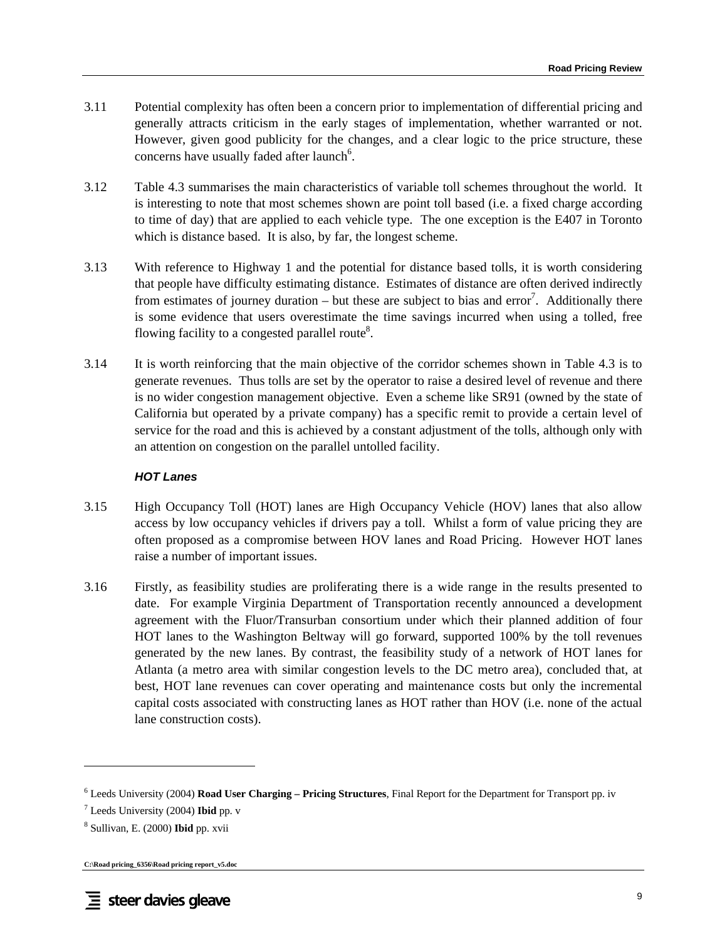- 3.11 Potential complexity has often been a concern prior to implementation of differential pricing and generally attracts criticism in the early stages of implementation, whether warranted or not. However, given good publicity for the changes, and a clear logic to the price structure, these concerns have usually faded after launch<sup>6</sup>.
- 3.12 Table 4.3 summarises the main characteristics of variable toll schemes throughout the world. It is interesting to note that most schemes shown are point toll based (i.e. a fixed charge according to time of day) that are applied to each vehicle type. The one exception is the E407 in Toronto which is distance based. It is also, by far, the longest scheme.
- 3.13 With reference to Highway 1 and the potential for distance based tolls, it is worth considering that people have difficulty estimating distance. Estimates of distance are often derived indirectly from estimates of journey duration – but these are subject to bias and error<sup>7</sup>. Additionally there is some evidence that users overestimate the time savings incurred when using a tolled, free flowing facility to a congested parallel route<sup>8</sup>.
- 3.14 It is worth reinforcing that the main objective of the corridor schemes shown in Table 4.3 is to generate revenues. Thus tolls are set by the operator to raise a desired level of revenue and there is no wider congestion management objective. Even a scheme like SR91 (owned by the state of California but operated by a private company) has a specific remit to provide a certain level of service for the road and this is achieved by a constant adjustment of the tolls, although only with an attention on congestion on the parallel untolled facility.

### *HOT Lanes*

- 3.15 High Occupancy Toll (HOT) lanes are High Occupancy Vehicle (HOV) lanes that also allow access by low occupancy vehicles if drivers pay a toll. Whilst a form of value pricing they are often proposed as a compromise between HOV lanes and Road Pricing. However HOT lanes raise a number of important issues.
- 3.16 Firstly, as feasibility studies are proliferating there is a wide range in the results presented to date. For example Virginia Department of Transportation recently announced a development agreement with the Fluor/Transurban consortium under which their planned addition of four HOT lanes to the Washington Beltway will go forward, supported 100% by the toll revenues generated by the new lanes. By contrast, the feasibility study of a network of HOT lanes for Atlanta (a metro area with similar congestion levels to the DC metro area), concluded that, at best, HOT lane revenues can cover operating and maintenance costs but only the incremental capital costs associated with constructing lanes as HOT rather than HOV (i.e. none of the actual lane construction costs).

```
C:\Road pricing_6356\Road pricing report_v5.doc
```
<sup>6</sup> Leeds University (2004) **Road User Charging – Pricing Structures**, Final Report for the Department for Transport pp. iv

<sup>7</sup> Leeds University (2004) **Ibid** pp. v

<sup>8</sup> Sullivan, E. (2000) **Ibid** pp. xvii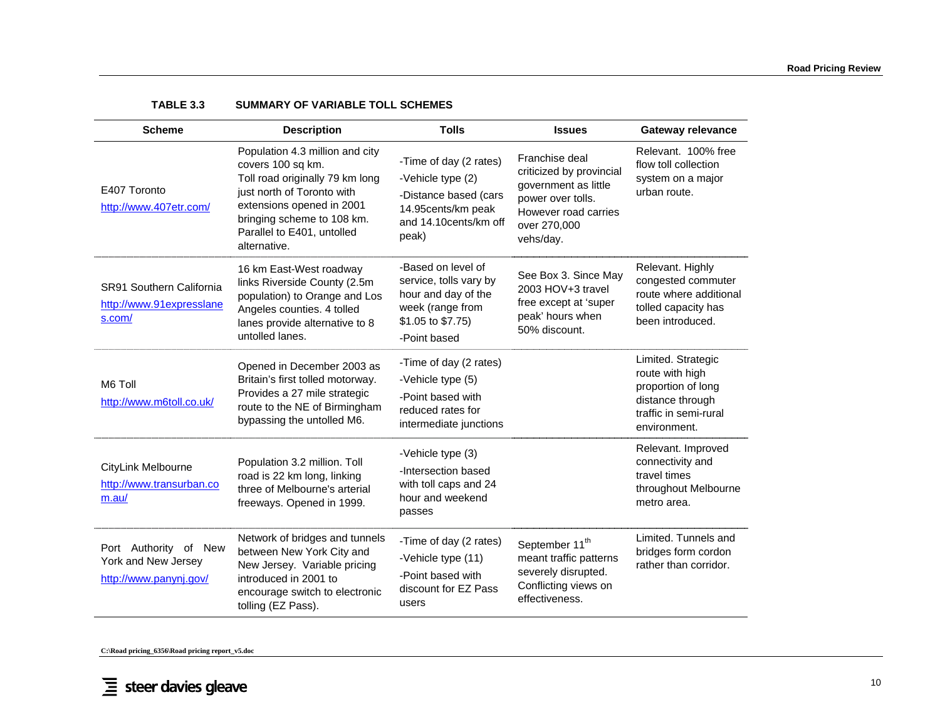| <b>Scheme</b>                                                          | <b>Description</b>                                                                                                                                                                                                             | <b>Tolls</b>                                                                                                                 | <b>Issues</b>                                                                                                                                | <b>Gateway relevance</b>                                                                                                 |
|------------------------------------------------------------------------|--------------------------------------------------------------------------------------------------------------------------------------------------------------------------------------------------------------------------------|------------------------------------------------------------------------------------------------------------------------------|----------------------------------------------------------------------------------------------------------------------------------------------|--------------------------------------------------------------------------------------------------------------------------|
| E407 Toronto<br>http://www.407etr.com/                                 | Population 4.3 million and city<br>covers 100 sq km.<br>Toll road originally 79 km long<br>just north of Toronto with<br>extensions opened in 2001<br>bringing scheme to 108 km.<br>Parallel to E401, untolled<br>alternative. | -Time of day (2 rates)<br>-Vehicle type (2)<br>-Distance based (cars<br>14.95cents/km peak<br>and 14.10cents/km off<br>peak) | Franchise deal<br>criticized by provincial<br>government as little<br>power over tolls.<br>However road carries<br>over 270,000<br>vehs/day. | Relevant. 100% free<br>flow toll collection<br>system on a major<br>urban route.                                         |
| SR91 Southern California<br>http://www.91expresslane<br>s.com/         | 16 km East-West roadway<br>links Riverside County (2.5m<br>population) to Orange and Los<br>Angeles counties. 4 tolled<br>lanes provide alternative to 8<br>untolled lanes.                                                    | -Based on level of<br>service, tolls vary by<br>hour and day of the<br>week (range from<br>\$1.05 to \$7.75)<br>-Point based | See Box 3. Since May<br>2003 HOV+3 travel<br>free except at 'super<br>peak' hours when<br>50% discount.                                      | Relevant. Highly<br>congested commuter<br>route where additional<br>tolled capacity has<br>been introduced.              |
| M6 Toll<br>http://www.m6toll.co.uk/                                    | Opened in December 2003 as<br>Britain's first tolled motorway.<br>Provides a 27 mile strategic<br>route to the NE of Birmingham<br>bypassing the untolled M6.                                                                  | -Time of day (2 rates)<br>-Vehicle type (5)<br>-Point based with<br>reduced rates for<br>intermediate junctions              |                                                                                                                                              | Limited. Strategic<br>route with high<br>proportion of long<br>distance through<br>traffic in semi-rural<br>environment. |
| CityLink Melbourne<br>http://www.transurban.co<br>m.au/                | Population 3.2 million. Toll<br>road is 22 km long, linking<br>three of Melbourne's arterial<br>freeways. Opened in 1999.                                                                                                      | -Vehicle type (3)<br>-Intersection based<br>with toll caps and 24<br>hour and weekend<br>passes                              |                                                                                                                                              | Relevant. Improved<br>connectivity and<br>travel times<br>throughout Melbourne<br>metro area.                            |
| Port Authority of New<br>York and New Jersey<br>http://www.panynj.gov/ | Network of bridges and tunnels<br>between New York City and<br>New Jersey. Variable pricing<br>introduced in 2001 to<br>encourage switch to electronic<br>tolling (EZ Pass).                                                   | -Time of day (2 rates)<br>-Vehicle type (11)<br>-Point based with<br>discount for EZ Pass<br>users                           | September 11 <sup>th</sup><br>meant traffic patterns<br>severely disrupted.<br>Conflicting views on<br>effectiveness.                        | Limited. Tunnels and<br>bridges form cordon<br>rather than corridor.                                                     |

#### **TABLE 3.3 SUMMARY OF VARIABLE TOLL SCHEMES**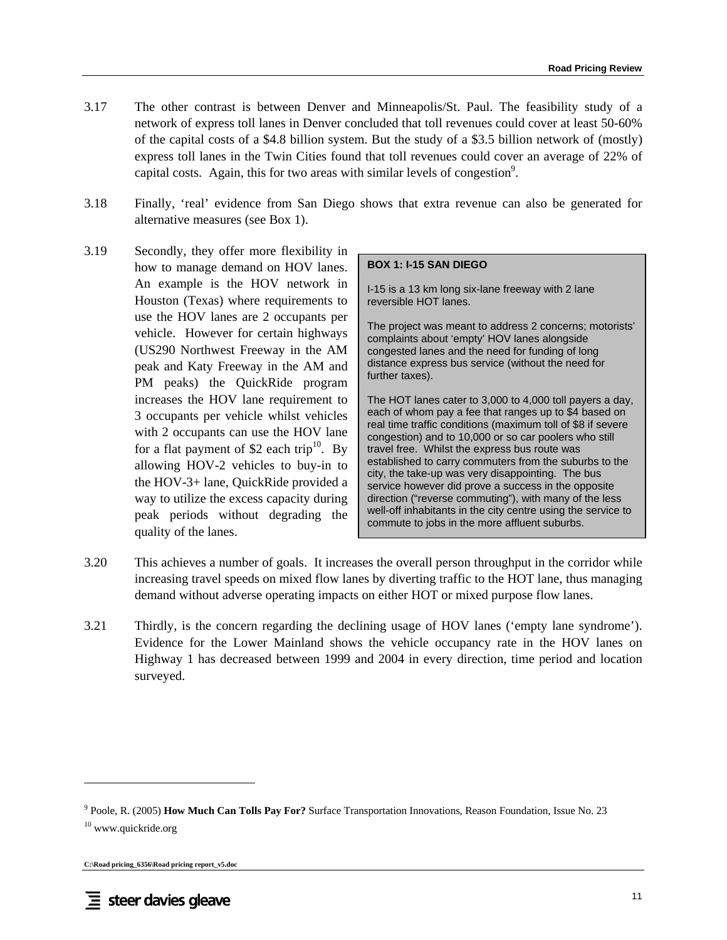- 3.17 The other contrast is between Denver and Minneapolis/St. Paul. The feasibility study of a network of express toll lanes in Denver concluded that toll revenues could cover at least 50-60% of the capital costs of a \$4.8 billion system. But the study of a \$3.5 billion network of (mostly) express toll lanes in the Twin Cities found that toll revenues could cover an average of 22% of capital costs. Again, this for two areas with similar levels of congestion<sup>9</sup>.
- 3.18 Finally, 'real' evidence from San Diego shows that extra revenue can also be generated for alternative measures (see Box 1).
- 3.19 Secondly, they offer more flexibility in how to manage demand on HOV lanes. An example is the HOV network in Houston (Texas) where requirements to use the HOV lanes are 2 occupants per vehicle. However for certain highways (US290 Northwest Freeway in the AM peak and Katy Freeway in the AM and PM peaks) the QuickRide program increases the HOV lane requirement to 3 occupants per vehicle whilst vehicles with 2 occupants can use the HOV lane for a flat payment of \$2 each trip<sup>10</sup>. By allowing HOV-2 vehicles to buy-in to the HOV-3+ lane, QuickRide provided a way to utilize the excess capacity during peak periods without degrading the quality of the lanes.

#### **BOX 1: I-15 SAN DIEGO**

I-15 is a 13 km long six-lane freeway with 2 lane reversible HOT lanes.

The project was meant to address 2 concerns; motorists' complaints about 'empty' HOV lanes alongside congested lanes and the need for funding of long distance express bus service (without the need for further taxes).

The HOT lanes cater to 3,000 to 4,000 toll payers a day, each of whom pay a fee that ranges up to \$4 based on real time traffic conditions (maximum toll of \$8 if severe congestion) and to 10,000 or so car poolers who still travel free. Whilst the express bus route was established to carry commuters from the suburbs to the city, the take-up was very disappointing. The bus service however did prove a success in the opposite direction ("reverse commuting"), with many of the less well-off inhabitants in the city centre using the service to commute to jobs in the more affluent suburbs.

- 3.20 This achieves a number of goals. It increases the overall person throughput in the corridor while increasing travel speeds on mixed flow lanes by diverting traffic to the HOT lane, thus managing demand without adverse operating impacts on either HOT or mixed purpose flow lanes.
- 3.21 Thirdly, is the concern regarding the declining usage of HOV lanes ('empty lane syndrome'). Evidence for the Lower Mainland shows the vehicle occupancy rate in the HOV lanes on Highway 1 has decreased between 1999 and 2004 in every direction, time period and location surveyed.

<sup>9</sup> Poole, R. (2005) **How Much Can Tolls Pay For?** Surface Transportation Innovations, Reason Foundation, Issue No. 23 10 www.quickride.org

**C:\Road pricing\_6356\Road pricing report\_v5.doc**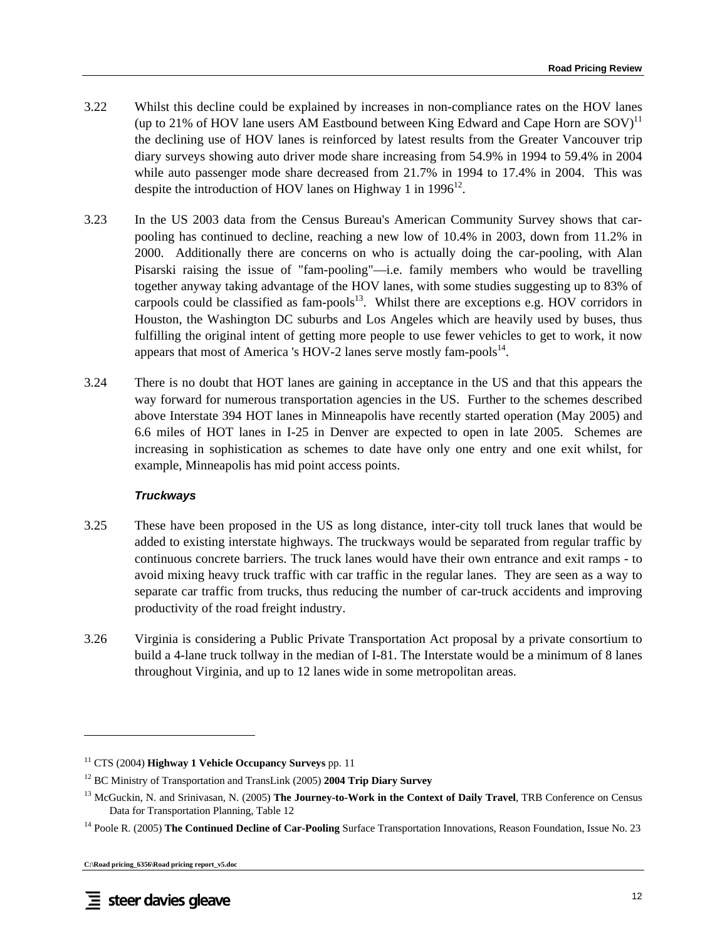- 3.22 Whilst this decline could be explained by increases in non-compliance rates on the HOV lanes (up to 21% of HOV lane users AM Eastbound between King Edward and Cape Horn are  $SOV$ <sup>11</sup> the declining use of HOV lanes is reinforced by latest results from the Greater Vancouver trip diary surveys showing auto driver mode share increasing from 54.9% in 1994 to 59.4% in 2004 while auto passenger mode share decreased from 21.7% in 1994 to 17.4% in 2004. This was despite the introduction of HOV lanes on Highway 1 in  $1996^{12}$ .
- 3.23 In the US 2003 data from the Census Bureau's American Community Survey shows that carpooling has continued to decline, reaching a new low of 10.4% in 2003, down from 11.2% in 2000. Additionally there are concerns on who is actually doing the car-pooling, with Alan Pisarski raising the issue of "fam-pooling"—i.e. family members who would be travelling together anyway taking advantage of the HOV lanes, with some studies suggesting up to 83% of carpools could be classified as fam-pools<sup>13</sup>. Whilst there are exceptions e.g. HOV corridors in Houston, the Washington DC suburbs and Los Angeles which are heavily used by buses, thus fulfilling the original intent of getting more people to use fewer vehicles to get to work, it now appears that most of America 's HOV-2 lanes serve mostly fam-pools $^{14}$ .
- 3.24 There is no doubt that HOT lanes are gaining in acceptance in the US and that this appears the way forward for numerous transportation agencies in the US. Further to the schemes described above Interstate 394 HOT lanes in Minneapolis have recently started operation (May 2005) and 6.6 miles of HOT lanes in I-25 in Denver are expected to open in late 2005. Schemes are increasing in sophistication as schemes to date have only one entry and one exit whilst, for example, Minneapolis has mid point access points.

### *Truckways*

- 3.25 These have been proposed in the US as long distance, inter-city toll truck lanes that would be added to existing interstate highways. The truckways would be separated from regular traffic by continuous concrete barriers. The truck lanes would have their own entrance and exit ramps - to avoid mixing heavy truck traffic with car traffic in the regular lanes. They are seen as a way to separate car traffic from trucks, thus reducing the number of car-truck accidents and improving productivity of the road freight industry.
- 3.26 Virginia is considering a Public Private Transportation Act proposal by a private consortium to build a 4-lane truck tollway in the median of I-81. The Interstate would be a minimum of 8 lanes throughout Virginia, and up to 12 lanes wide in some metropolitan areas.

<sup>11</sup> CTS (2004) **Highway 1 Vehicle Occupancy Surveys** pp. 11

<sup>12</sup> BC Ministry of Transportation and TransLink (2005) **2004 Trip Diary Survey**

<sup>&</sup>lt;sup>13</sup> McGuckin, N. and Srinivasan, N. (2005) **The Journey-to-Work in the Context of Daily Travel**, TRB Conference on Census Data for Transportation Planning, Table 12

<sup>&</sup>lt;sup>14</sup> Poole R. (2005) **The Continued Decline of Car-Pooling** Surface Transportation Innovations, Reason Foundation, Issue No. 23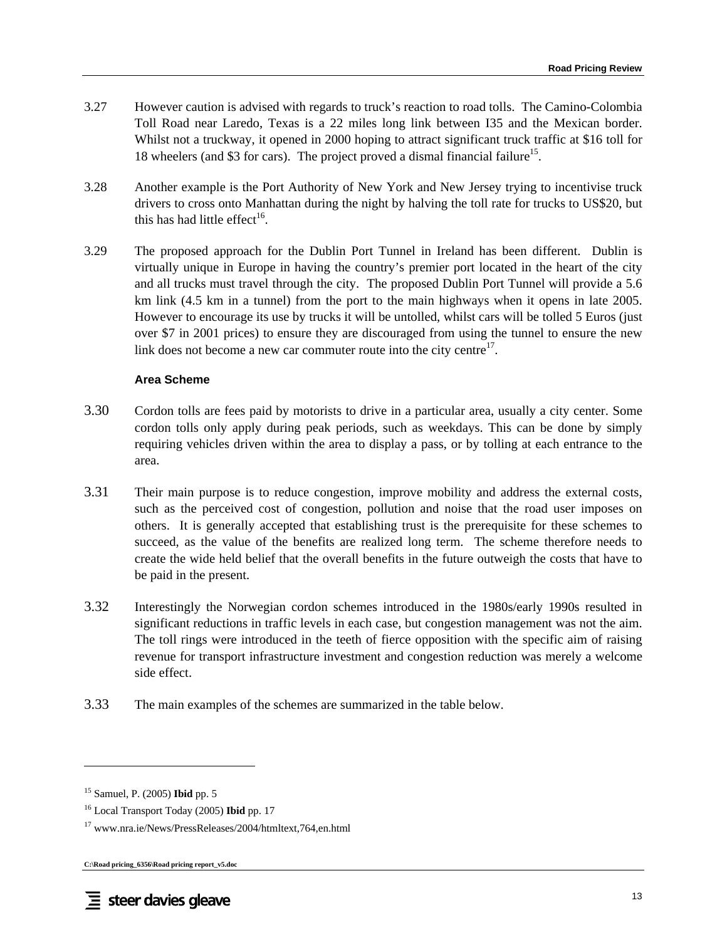- 3.27 However caution is advised with regards to truck's reaction to road tolls. The Camino-Colombia Toll Road near Laredo, Texas is a 22 miles long link between I35 and the Mexican border. Whilst not a truckway, it opened in 2000 hoping to attract significant truck traffic at \$16 toll for 18 wheelers (and \$3 for cars). The project proved a dismal financial failure<sup>15</sup>.
- 3.28 Another example is the Port Authority of New York and New Jersey trying to incentivise truck drivers to cross onto Manhattan during the night by halving the toll rate for trucks to US\$20, but this has had little effect<sup>16</sup>.
- 3.29 The proposed approach for the Dublin Port Tunnel in Ireland has been different. Dublin is virtually unique in Europe in having the country's premier port located in the heart of the city and all trucks must travel through the city. The proposed Dublin Port Tunnel will provide a 5.6 km link (4.5 km in a tunnel) from the port to the main highways when it opens in late 2005. However to encourage its use by trucks it will be untolled, whilst cars will be tolled 5 Euros (just over \$7 in 2001 prices) to ensure they are discouraged from using the tunnel to ensure the new link does not become a new car commuter route into the city centre $17$ .

#### **Area Scheme**

- 3.30 Cordon tolls are fees paid by motorists to drive in a particular area, usually a city center. Some cordon tolls only apply during peak periods, such as weekdays. This can be done by simply requiring vehicles driven within the area to display a pass, or by tolling at each entrance to the area.
- 3.31 Their main purpose is to reduce congestion, improve mobility and address the external costs, such as the perceived cost of congestion, pollution and noise that the road user imposes on others. It is generally accepted that establishing trust is the prerequisite for these schemes to succeed, as the value of the benefits are realized long term. The scheme therefore needs to create the wide held belief that the overall benefits in the future outweigh the costs that have to be paid in the present.
- 3.32 Interestingly the Norwegian cordon schemes introduced in the 1980s/early 1990s resulted in significant reductions in traffic levels in each case, but congestion management was not the aim. The toll rings were introduced in the teeth of fierce opposition with the specific aim of raising revenue for transport infrastructure investment and congestion reduction was merely a welcome side effect.
- 3.33 The main examples of the schemes are summarized in the table below.

l

<sup>15</sup> Samuel, P. (2005) **Ibid** pp. 5

<sup>16</sup> Local Transport Today (2005) **Ibid** pp. 17

<sup>17</sup> www.nra.ie/News/PressReleases/2004/htmltext,764,en.html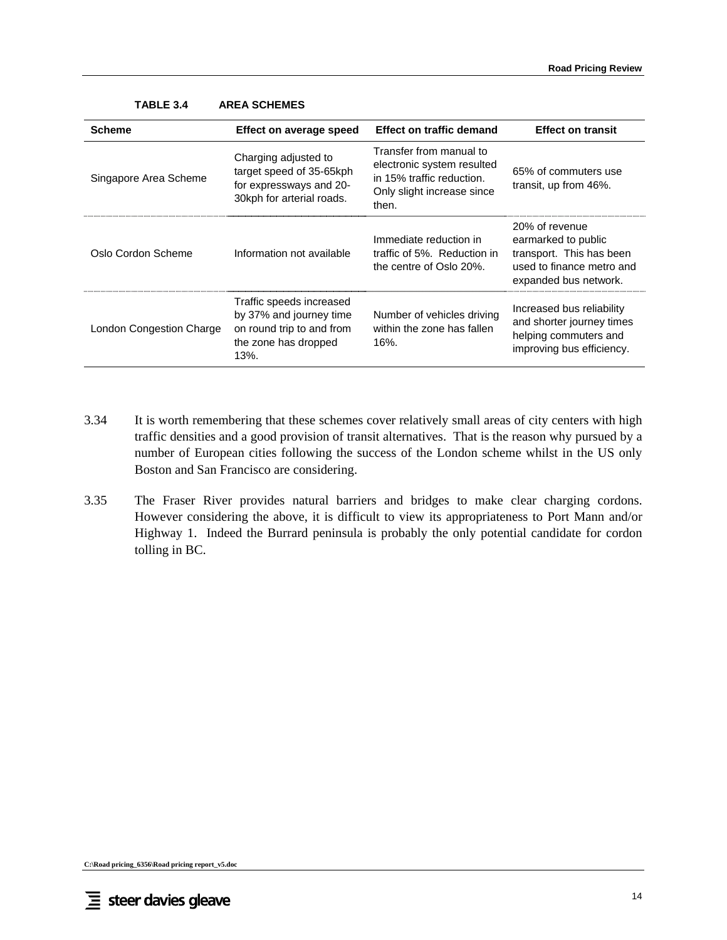| <b>Scheme</b>            | Effect on average speed                                                                                          | <b>Effect on traffic demand</b>                                                                                           | <b>Effect on transit</b>                                                                                                |
|--------------------------|------------------------------------------------------------------------------------------------------------------|---------------------------------------------------------------------------------------------------------------------------|-------------------------------------------------------------------------------------------------------------------------|
| Singapore Area Scheme    | Charging adjusted to<br>target speed of 35-65kph<br>for expressways and 20-<br>30kph for arterial roads.         | Transfer from manual to<br>electronic system resulted<br>in 15% traffic reduction.<br>Only slight increase since<br>then. | 65% of commuters use<br>transit, up from 46%.                                                                           |
| Oslo Cordon Scheme       | Information not available                                                                                        | Immediate reduction in<br>traffic of 5%. Reduction in<br>the centre of Oslo 20%.                                          | 20% of revenue<br>earmarked to public<br>transport. This has been<br>used to finance metro and<br>expanded bus network. |
| London Congestion Charge | Traffic speeds increased<br>by 37% and journey time<br>on round trip to and from<br>the zone has dropped<br>13%. | Number of vehicles driving<br>within the zone has fallen<br>$16%$ .                                                       | Increased bus reliability<br>and shorter journey times<br>helping commuters and<br>improving bus efficiency.            |

#### **TABLE 3.4 AREA SCHEMES**

- 3.34 It is worth remembering that these schemes cover relatively small areas of city centers with high traffic densities and a good provision of transit alternatives. That is the reason why pursued by a number of European cities following the success of the London scheme whilst in the US only Boston and San Francisco are considering.
- 3.35 The Fraser River provides natural barriers and bridges to make clear charging cordons. However considering the above, it is difficult to view its appropriateness to Port Mann and/or Highway 1. Indeed the Burrard peninsula is probably the only potential candidate for cordon tolling in BC.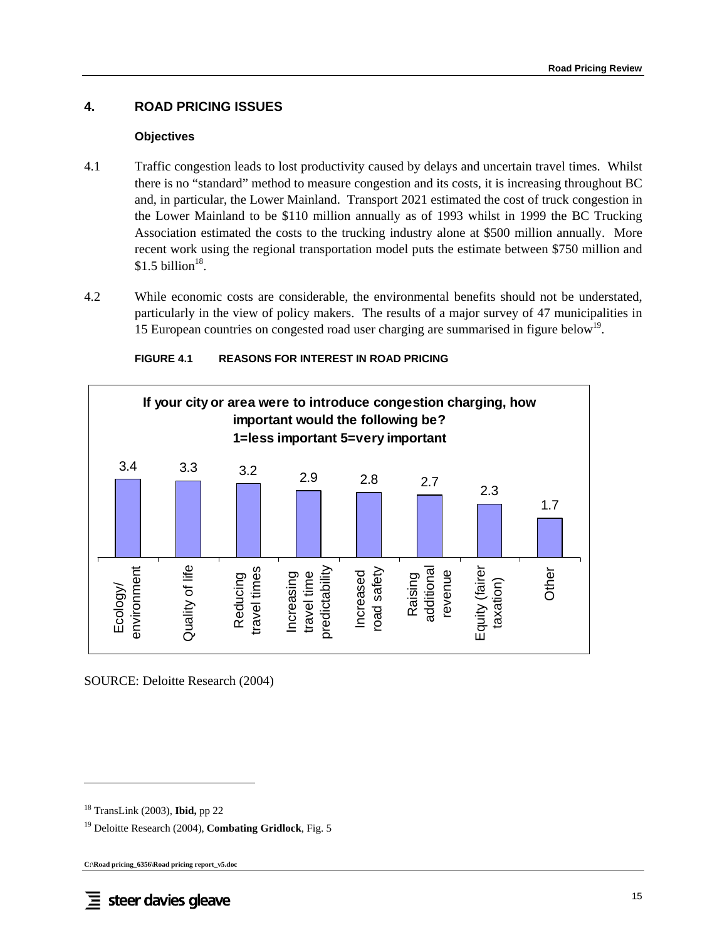# **4. ROAD PRICING ISSUES**

#### **Objectives**

- 4.1 Traffic congestion leads to lost productivity caused by delays and uncertain travel times. Whilst there is no "standard" method to measure congestion and its costs, it is increasing throughout BC and, in particular, the Lower Mainland. Transport 2021 estimated the cost of truck congestion in the Lower Mainland to be \$110 million annually as of 1993 whilst in 1999 the BC Trucking Association estimated the costs to the trucking industry alone at \$500 million annually. More recent work using the regional transportation model puts the estimate between \$750 million and \$1.5 billion $^{18}$ .
- 4.2 While economic costs are considerable, the environmental benefits should not be understated, particularly in the view of policy makers. The results of a major survey of 47 municipalities in 15 European countries on congested road user charging are summarised in figure below<sup>19</sup>.



#### **FIGURE 4.1 REASONS FOR INTEREST IN ROAD PRICING**

SOURCE: Deloitte Research (2004)

l

<sup>18</sup> TransLink (2003), **Ibid,** pp 22

<sup>19</sup> Deloitte Research (2004), **Combating Gridlock**, Fig. 5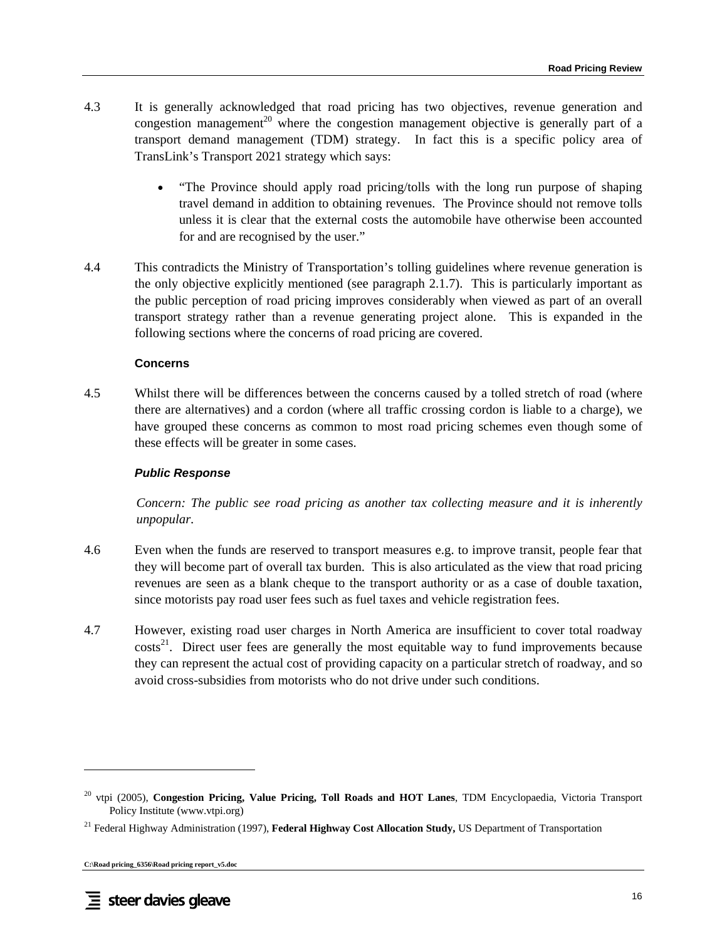- 4.3 It is generally acknowledged that road pricing has two objectives, revenue generation and congestion management<sup>20</sup> where the congestion management objective is generally part of a transport demand management (TDM) strategy. In fact this is a specific policy area of TransLink's Transport 2021 strategy which says:
	- "The Province should apply road pricing/tolls with the long run purpose of shaping travel demand in addition to obtaining revenues. The Province should not remove tolls unless it is clear that the external costs the automobile have otherwise been accounted for and are recognised by the user."
- 4.4 This contradicts the Ministry of Transportation's tolling guidelines where revenue generation is the only objective explicitly mentioned (see paragraph 2.1.7). This is particularly important as the public perception of road pricing improves considerably when viewed as part of an overall transport strategy rather than a revenue generating project alone. This is expanded in the following sections where the concerns of road pricing are covered.

#### **Concerns**

4.5 Whilst there will be differences between the concerns caused by a tolled stretch of road (where there are alternatives) and a cordon (where all traffic crossing cordon is liable to a charge), we have grouped these concerns as common to most road pricing schemes even though some of these effects will be greater in some cases.

### *Public Response*

*Concern: The public see road pricing as another tax collecting measure and it is inherently unpopular.* 

- 4.6 Even when the funds are reserved to transport measures e.g. to improve transit, people fear that they will become part of overall tax burden. This is also articulated as the view that road pricing revenues are seen as a blank cheque to the transport authority or as a case of double taxation, since motorists pay road user fees such as fuel taxes and vehicle registration fees.
- 4.7 However, existing road user charges in North America are insufficient to cover total roadway  $costs<sup>21</sup>$ . Direct user fees are generally the most equitable way to fund improvements because they can represent the actual cost of providing capacity on a particular stretch of roadway, and so avoid cross-subsidies from motorists who do not drive under such conditions.

<sup>20</sup> vtpi (2005), **Congestion Pricing, Value Pricing, Toll Roads and HOT Lanes**, TDM Encyclopaedia, Victoria Transport Policy Institute (www.vtpi.org)

<sup>21</sup> Federal Highway Administration (1997), **Federal Highway Cost Allocation Study,** US Department of Transportation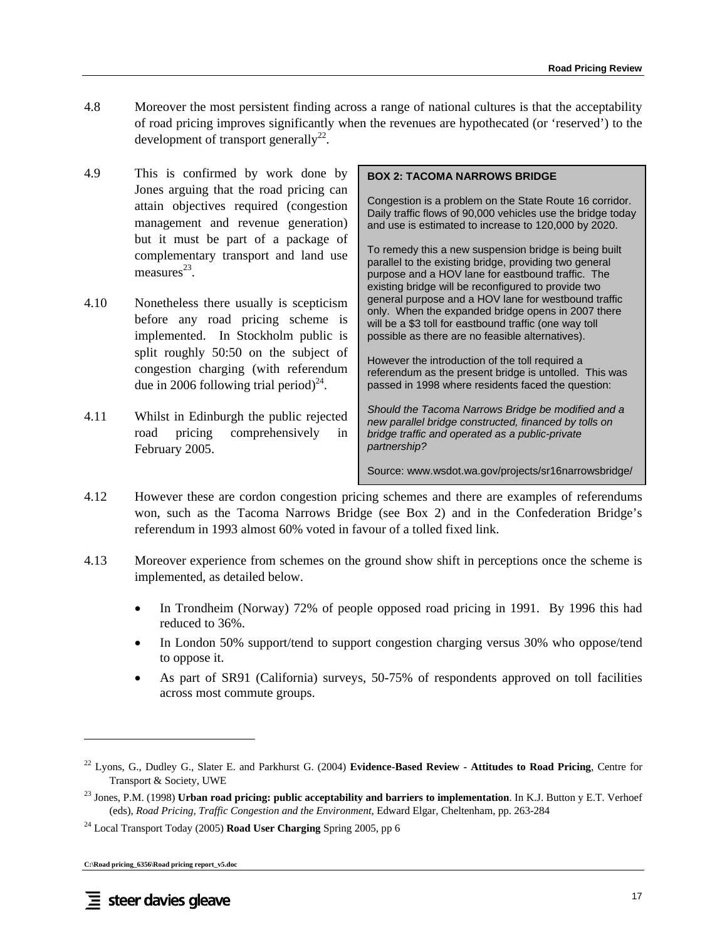- 4.8 Moreover the most persistent finding across a range of national cultures is that the acceptability of road pricing improves significantly when the revenues are hypothecated (or 'reserved') to the development of transport generally<sup>22</sup>.
- 4.9 This is confirmed by work done by Jones arguing that the road pricing can attain objectives required (congestion management and revenue generation) but it must be part of a package of complementary transport and land use measures $^{23}$ .
- 4.10 Nonetheless there usually is scepticism before any road pricing scheme is implemented. In Stockholm public is split roughly 50:50 on the subject of congestion charging (with referendum due in 2006 following trial period)<sup>24</sup>.
- 4.11 Whilst in Edinburgh the public rejected road pricing comprehensively in February 2005.

#### **BOX 2: TACOMA NARROWS BRIDGE**

Congestion is a problem on the State Route 16 corridor. Daily traffic flows of 90,000 vehicles use the bridge today and use is estimated to increase to 120,000 by 2020.

To remedy this a new suspension bridge is being built parallel to the existing bridge, providing two general purpose and a HOV lane for eastbound traffic. The existing bridge will be reconfigured to provide two general purpose and a HOV lane for westbound traffic only. When the expanded bridge opens in 2007 there will be a \$3 toll for eastbound traffic (one way toll possible as there are no feasible alternatives).

However the introduction of the toll required a referendum as the present bridge is untolled. This was passed in 1998 where residents faced the question:

*Should the Tacoma Narrows Bridge be modified and a new parallel bridge constructed, financed by tolls on bridge traffic and operated as a public-private partnership?* 

Source: www.wsdot.wa.gov/projects/sr16narrowsbridge/

- 4.12 However these are cordon congestion pricing schemes and there are examples of referendums won, such as the Tacoma Narrows Bridge (see Box 2) and in the Confederation Bridge's referendum in 1993 almost 60% voted in favour of a tolled fixed link.
- 4.13 Moreover experience from schemes on the ground show shift in perceptions once the scheme is implemented, as detailed below.
	- In Trondheim (Norway) 72% of people opposed road pricing in 1991. By 1996 this had reduced to 36%.
	- In London 50% support/tend to support congestion charging versus 30% who oppose/tend to oppose it.
	- As part of SR91 (California) surveys, 50-75% of respondents approved on toll facilities across most commute groups.

<sup>22</sup> Lyons, G., Dudley G., Slater E. and Parkhurst G. (2004) **Evidence-Based Review - Attitudes to Road Pricing**, Centre for Transport & Society, UWE

<sup>23</sup> Jones, P.M. (1998) **Urban road pricing: public acceptability and barriers to implementation**. In K.J. Button y E.T. Verhoef (eds), *Road Pricing, Traffic Congestion and the Environment*, Edward Elgar, Cheltenham, pp. 263-284

<sup>24</sup> Local Transport Today (2005) **Road User Charging** Spring 2005, pp 6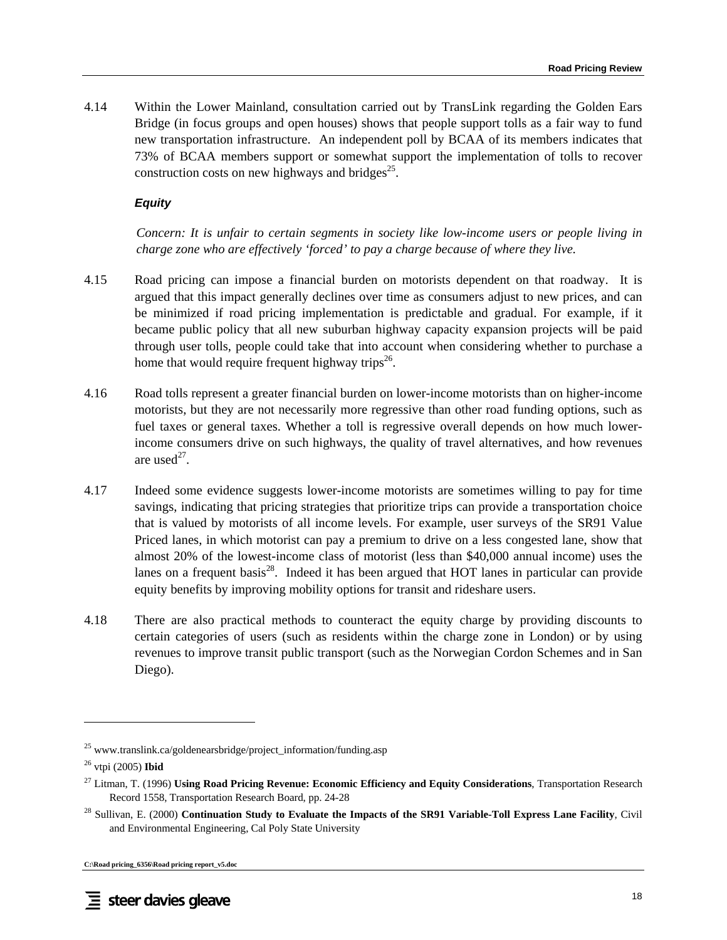4.14 Within the Lower Mainland, consultation carried out by TransLink regarding the Golden Ears Bridge (in focus groups and open houses) shows that people support tolls as a fair way to fund new transportation infrastructure. An independent poll by BCAA of its members indicates that 73% of BCAA members support or somewhat support the implementation of tolls to recover construction costs on new highways and bridges<sup>25</sup>.

## *Equity*

*Concern: It is unfair to certain segments in society like low-income users or people living in charge zone who are effectively 'forced' to pay a charge because of where they live.* 

- 4.15 Road pricing can impose a financial burden on motorists dependent on that roadway. It is argued that this impact generally declines over time as consumers adjust to new prices, and can be minimized if road pricing implementation is predictable and gradual. For example, if it became public policy that all new suburban highway capacity expansion projects will be paid through user tolls, people could take that into account when considering whether to purchase a home that would require frequent highway trips<sup>26</sup>.
- 4.16 Road tolls represent a greater financial burden on lower-income motorists than on higher-income motorists, but they are not necessarily more regressive than other road funding options, such as fuel taxes or general taxes. Whether a toll is regressive overall depends on how much lowerincome consumers drive on such highways, the quality of travel alternatives, and how revenues are used $^{27}$ .
- 4.17 Indeed some evidence suggests lower-income motorists are sometimes willing to pay for time savings, indicating that pricing strategies that prioritize trips can provide a transportation choice that is valued by motorists of all income levels. For example, user surveys of the SR91 Value Priced lanes, in which motorist can pay a premium to drive on a less congested lane, show that almost 20% of the lowest-income class of motorist (less than \$40,000 annual income) uses the lanes on a frequent basis<sup>28</sup>. Indeed it has been argued that HOT lanes in particular can provide equity benefits by improving mobility options for transit and rideshare users.
- 4.18 There are also practical methods to counteract the equity charge by providing discounts to certain categories of users (such as residents within the charge zone in London) or by using revenues to improve transit public transport (such as the Norwegian Cordon Schemes and in San Diego).

<sup>&</sup>lt;sup>25</sup> www.translink.ca/goldenearsbridge/project\_information/funding.asp

<sup>26</sup> vtpi (2005) **Ibid**

<sup>27</sup> Litman, T. (1996) **Using Road Pricing Revenue: Economic Efficiency and Equity Considerations**, Transportation Research Record 1558, Transportation Research Board, pp. 24-28

<sup>28</sup> Sullivan, E. (2000) **Continuation Study to Evaluate the Impacts of the SR91 Variable-Toll Express Lane Facility**, Civil and Environmental Engineering, Cal Poly State University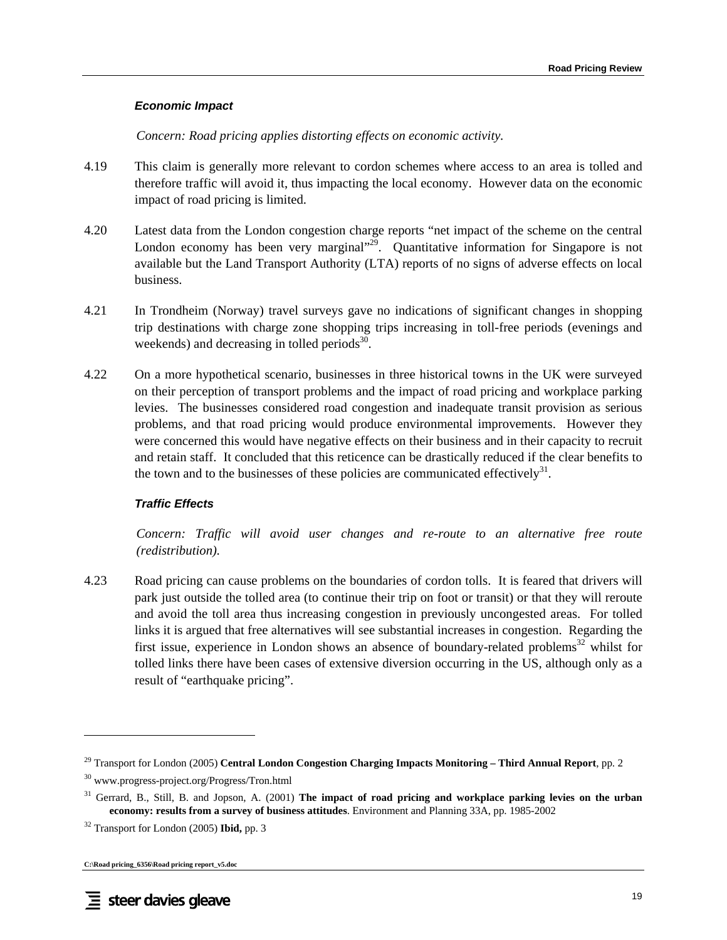#### *Economic Impact*

*Concern: Road pricing applies distorting effects on economic activity.* 

- 4.19 This claim is generally more relevant to cordon schemes where access to an area is tolled and therefore traffic will avoid it, thus impacting the local economy. However data on the economic impact of road pricing is limited.
- 4.20 Latest data from the London congestion charge reports "net impact of the scheme on the central London economy has been very marginal $\frac{1}{2}$ . Quantitative information for Singapore is not available but the Land Transport Authority (LTA) reports of no signs of adverse effects on local business.
- 4.21 In Trondheim (Norway) travel surveys gave no indications of significant changes in shopping trip destinations with charge zone shopping trips increasing in toll-free periods (evenings and weekends) and decreasing in tolled periods $30$ .
- 4.22 On a more hypothetical scenario, businesses in three historical towns in the UK were surveyed on their perception of transport problems and the impact of road pricing and workplace parking levies. The businesses considered road congestion and inadequate transit provision as serious problems, and that road pricing would produce environmental improvements. However they were concerned this would have negative effects on their business and in their capacity to recruit and retain staff. It concluded that this reticence can be drastically reduced if the clear benefits to the town and to the businesses of these policies are communicated effectively<sup>31</sup>.

### *Traffic Effects*

*Concern: Traffic will avoid user changes and re-route to an alternative free route (redistribution).* 

4.23 Road pricing can cause problems on the boundaries of cordon tolls. It is feared that drivers will park just outside the tolled area (to continue their trip on foot or transit) or that they will reroute and avoid the toll area thus increasing congestion in previously uncongested areas. For tolled links it is argued that free alternatives will see substantial increases in congestion. Regarding the first issue, experience in London shows an absence of boundary-related problems<sup>32</sup> whilst for tolled links there have been cases of extensive diversion occurring in the US, although only as a result of "earthquake pricing".

 $\overline{\phantom{a}}$ 

<sup>29</sup> Transport for London (2005) **Central London Congestion Charging Impacts Monitoring – Third Annual Report**, pp. 2

<sup>30</sup> www.progress-project.org/Progress/Tron.html

<sup>&</sup>lt;sup>31</sup> Gerrard, B., Still, B. and Jopson, A. (2001) The impact of road pricing and workplace parking levies on the urban **economy: results from a survey of business attitudes**. Environment and Planning 33A, pp. 1985-2002

<sup>32</sup> Transport for London (2005) **Ibid,** pp. 3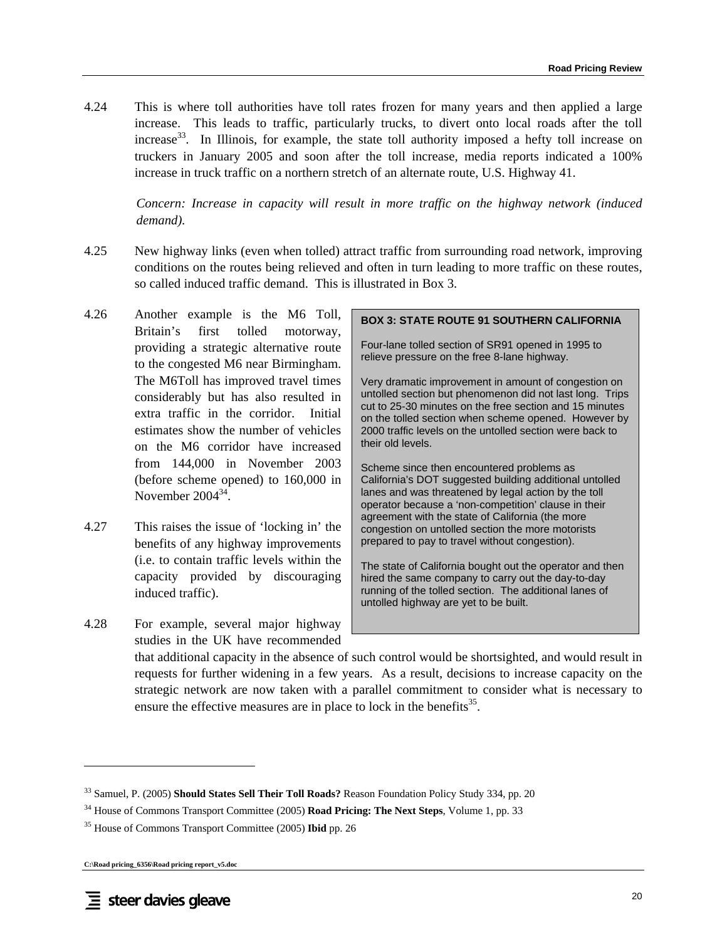4.24 This is where toll authorities have toll rates frozen for many years and then applied a large increase. This leads to traffic, particularly trucks, to divert onto local roads after the toll increase $33$ . In Illinois, for example, the state toll authority imposed a hefty toll increase on truckers in January 2005 and soon after the toll increase, media reports indicated a 100% increase in truck traffic on a northern stretch of an alternate route, U.S. Highway 41.

*Concern: Increase in capacity will result in more traffic on the highway network (induced demand).* 

- 4.25 New highway links (even when tolled) attract traffic from surrounding road network, improving conditions on the routes being relieved and often in turn leading to more traffic on these routes, so called induced traffic demand. This is illustrated in Box 3.
- 4.26 Another example is the M6 Toll, Britain's first tolled motorway, providing a strategic alternative route to the congested M6 near Birmingham. The M6Toll has improved travel times considerably but has also resulted in extra traffic in the corridor. Initial estimates show the number of vehicles on the M6 corridor have increased from 144,000 in November 2003 (before scheme opened) to 160,000 in November 2004<sup>34</sup>
- 4.27 This raises the issue of 'locking in' the benefits of any highway improvements (i.e. to contain traffic levels within the capacity provided by discouraging induced traffic).
- 4.28 For example, several major highway studies in the UK have recommended

#### **BOX 3: STATE ROUTE 91 SOUTHERN CALIFORNIA**

Four-lane tolled section of SR91 opened in 1995 to relieve pressure on the free 8-lane highway.

Very dramatic improvement in amount of congestion on untolled section but phenomenon did not last long. Trips cut to 25-30 minutes on the free section and 15 minutes on the tolled section when scheme opened. However by 2000 traffic levels on the untolled section were back to their old levels.

Scheme since then encountered problems as California's DOT suggested building additional untolled lanes and was threatened by legal action by the toll operator because a 'non-competition' clause in their agreement with the state of California (the more congestion on untolled section the more motorists prepared to pay to travel without congestion).

The state of California bought out the operator and then hired the same company to carry out the day-to-day running of the tolled section. The additional lanes of untolled highway are yet to be built.

that additional capacity in the absence of such control would be shortsighted, and would result in requests for further widening in a few years. As a result, decisions to increase capacity on the strategic network are now taken with a parallel commitment to consider what is necessary to ensure the effective measures are in place to lock in the benefits $^{35}$ .

<sup>33</sup> Samuel, P. (2005) **Should States Sell Their Toll Roads?** Reason Foundation Policy Study 334, pp. 20

<sup>34</sup> House of Commons Transport Committee (2005) **Road Pricing: The Next Steps**, Volume 1, pp. 33

<sup>35</sup> House of Commons Transport Committee (2005) **Ibid** pp. 26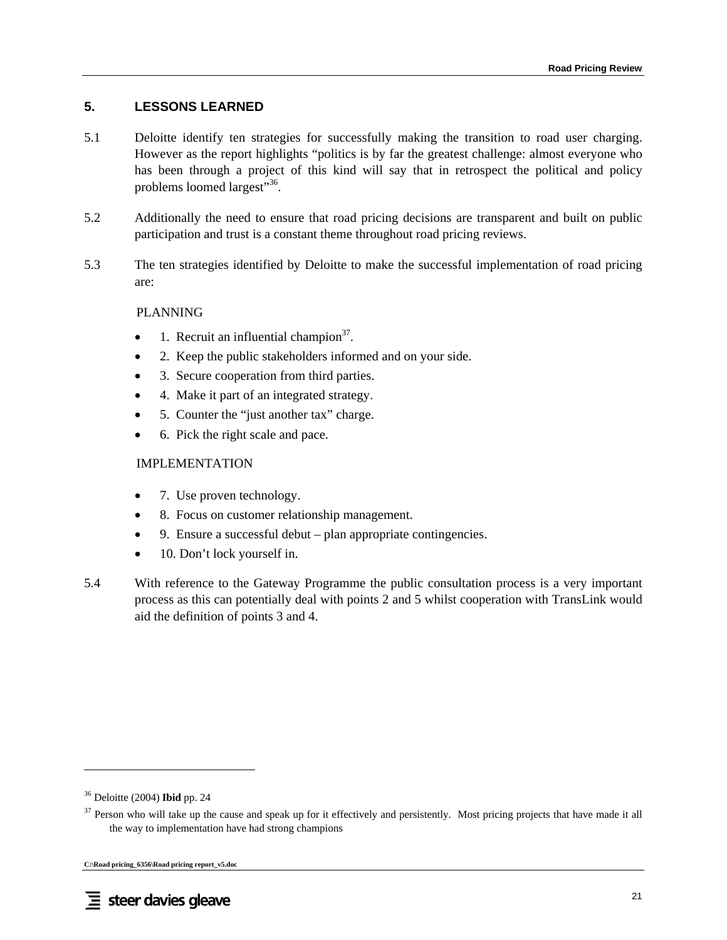# **5. LESSONS LEARNED**

- 5.1 Deloitte identify ten strategies for successfully making the transition to road user charging. However as the report highlights "politics is by far the greatest challenge: almost everyone who has been through a project of this kind will say that in retrospect the political and policy problems loomed largest"<sup>36</sup>.
- 5.2 Additionally the need to ensure that road pricing decisions are transparent and built on public participation and trust is a constant theme throughout road pricing reviews.
- 5.3 The ten strategies identified by Deloitte to make the successful implementation of road pricing are:

## PLANNING

- 1. Recruit an influential champion  $3^7$ .
- 2. Keep the public stakeholders informed and on your side.
- 3. Secure cooperation from third parties.
- 4. Make it part of an integrated strategy.
- 5. Counter the "just another tax" charge.
- 6. Pick the right scale and pace.

# IMPLEMENTATION

- 7. Use proven technology.
- 8. Focus on customer relationship management.
- 9. Ensure a successful debut plan appropriate contingencies.
- 10. Don't lock yourself in.
- 5.4 With reference to the Gateway Programme the public consultation process is a very important process as this can potentially deal with points 2 and 5 whilst cooperation with TransLink would aid the definition of points 3 and 4.

l

<sup>36</sup> Deloitte (2004) **Ibid** pp. 24

<sup>&</sup>lt;sup>37</sup> Person who will take up the cause and speak up for it effectively and persistently. Most pricing projects that have made it all the way to implementation have had strong champions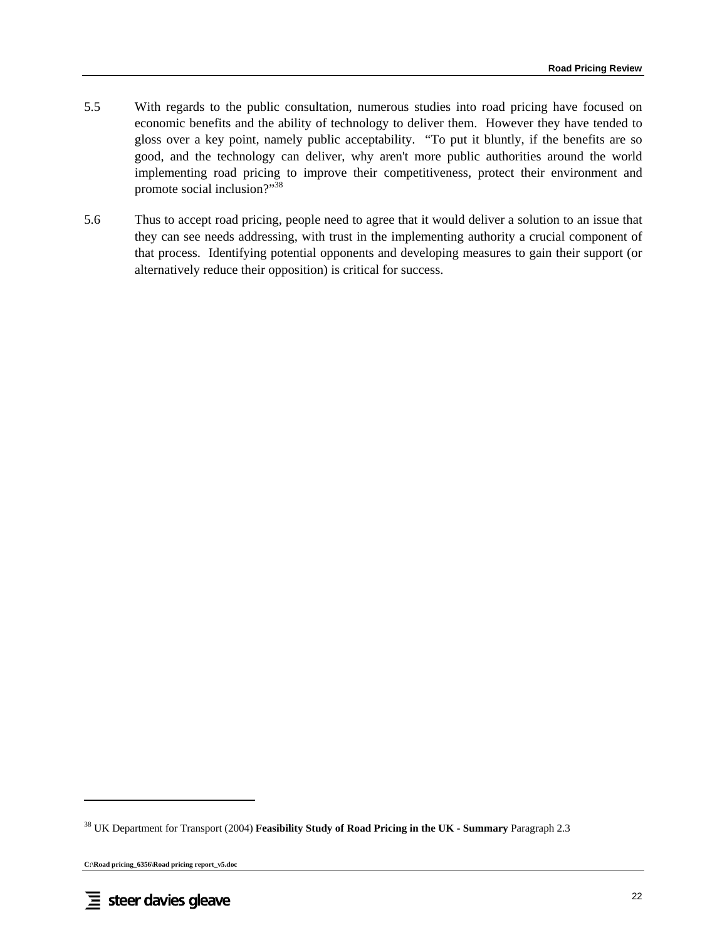- 5.5 With regards to the public consultation, numerous studies into road pricing have focused on economic benefits and the ability of technology to deliver them. However they have tended to gloss over a key point, namely public acceptability. "To put it bluntly, if the benefits are so good, and the technology can deliver, why aren't more public authorities around the world implementing road pricing to improve their competitiveness, protect their environment and promote social inclusion?"38
- 5.6 Thus to accept road pricing, people need to agree that it would deliver a solution to an issue that they can see needs addressing, with trust in the implementing authority a crucial component of that process. Identifying potential opponents and developing measures to gain their support (or alternatively reduce their opposition) is critical for success.

<sup>38</sup> UK Department for Transport (2004) **Feasibility Study of Road Pricing in the UK - Summary** Paragraph 2.3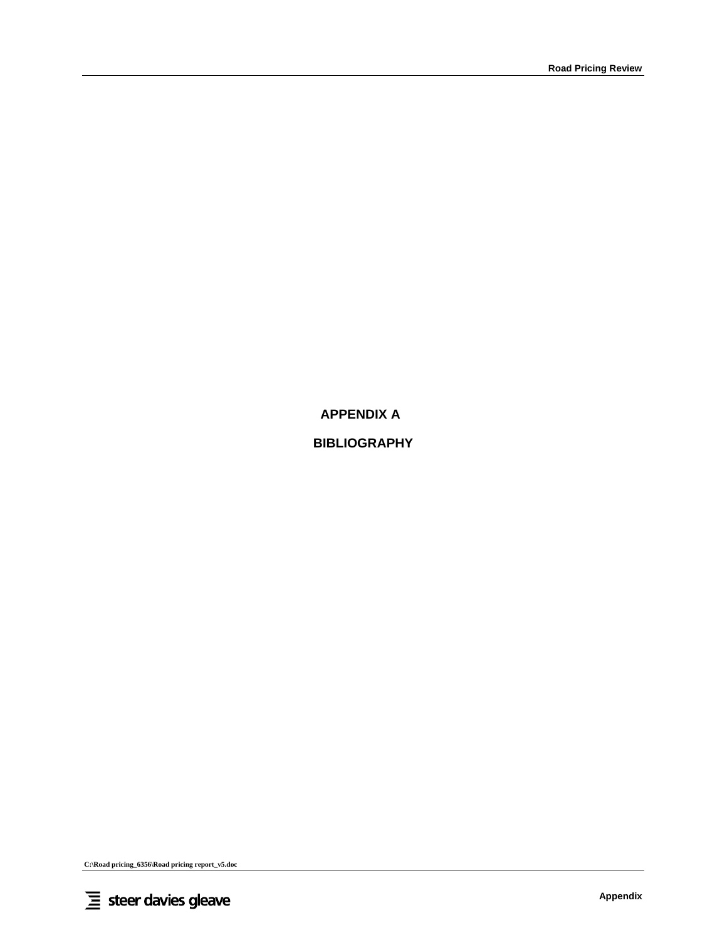**APPENDIX A** 

# **BIBLIOGRAPHY**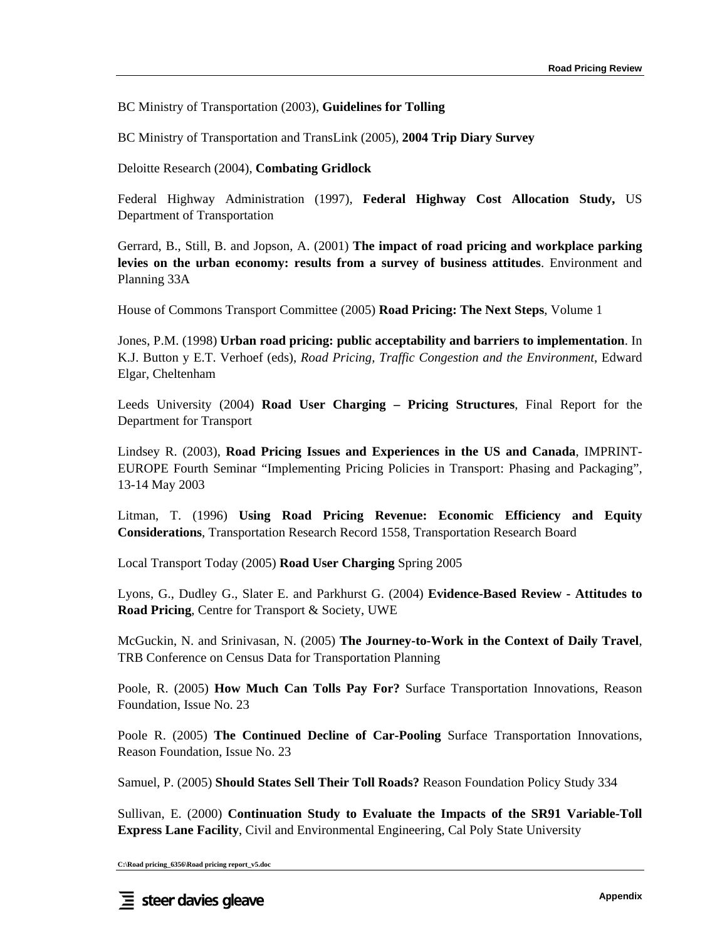BC Ministry of Transportation (2003), **Guidelines for Tolling** 

BC Ministry of Transportation and TransLink (2005), **2004 Trip Diary Survey** 

Deloitte Research (2004), **Combating Gridlock**

Federal Highway Administration (1997), **Federal Highway Cost Allocation Study,** US Department of Transportation

Gerrard, B., Still, B. and Jopson, A. (2001) **The impact of road pricing and workplace parking levies on the urban economy: results from a survey of business attitudes**. Environment and Planning 33A

House of Commons Transport Committee (2005) **Road Pricing: The Next Steps**, Volume 1

Jones, P.M. (1998) **Urban road pricing: public acceptability and barriers to implementation**. In K.J. Button y E.T. Verhoef (eds), *Road Pricing, Traffic Congestion and the Environment*, Edward Elgar, Cheltenham

Leeds University (2004) **Road User Charging – Pricing Structures**, Final Report for the Department for Transport

Lindsey R. (2003), **Road Pricing Issues and Experiences in the US and Canada**, IMPRINT-EUROPE Fourth Seminar "Implementing Pricing Policies in Transport: Phasing and Packaging", 13-14 May 2003

Litman, T. (1996) **Using Road Pricing Revenue: Economic Efficiency and Equity Considerations**, Transportation Research Record 1558, Transportation Research Board

Local Transport Today (2005) **Road User Charging** Spring 2005

Lyons, G., Dudley G., Slater E. and Parkhurst G. (2004) **Evidence-Based Review - Attitudes to Road Pricing**, Centre for Transport & Society, UWE

McGuckin, N. and Srinivasan, N. (2005) **The Journey-to-Work in the Context of Daily Travel**, TRB Conference on Census Data for Transportation Planning

Poole, R. (2005) **How Much Can Tolls Pay For?** Surface Transportation Innovations, Reason Foundation, Issue No. 23

Poole R. (2005) **The Continued Decline of Car-Pooling** Surface Transportation Innovations, Reason Foundation, Issue No. 23

Samuel, P. (2005) **Should States Sell Their Toll Roads?** Reason Foundation Policy Study 334

Sullivan, E. (2000) **Continuation Study to Evaluate the Impacts of the SR91 Variable-Toll Express Lane Facility**, Civil and Environmental Engineering, Cal Poly State University